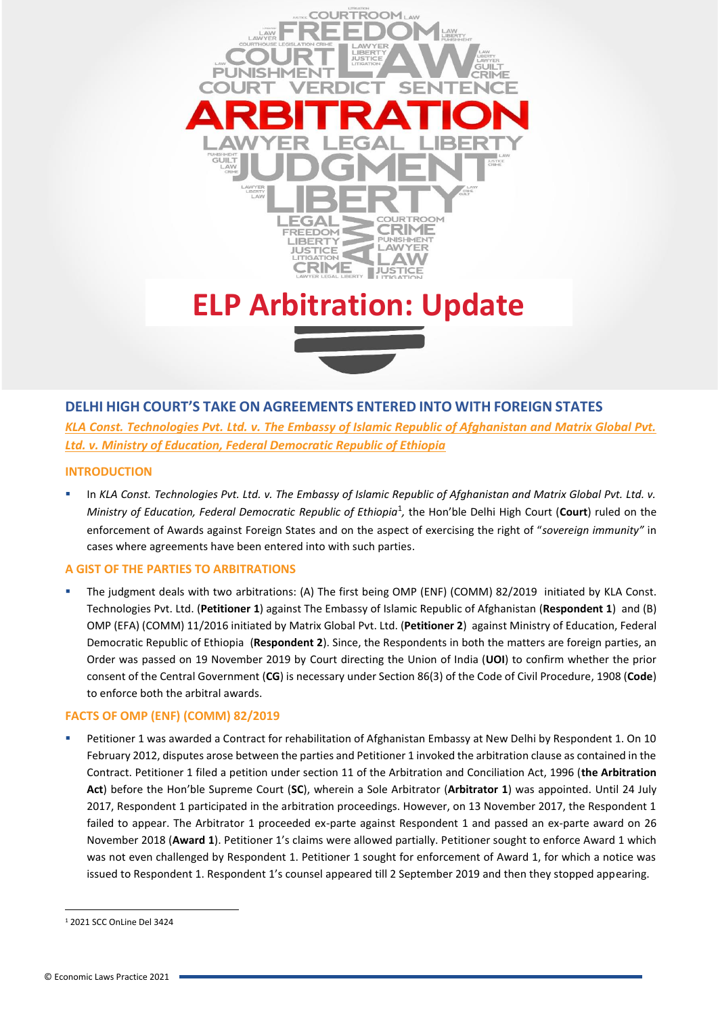

# **DELHI HIGH COURT'S TAKE ON AGREEMENTS ENTERED INTO WITH FOREIGN STATES**

*KLA Const. Technologies Pvt. Ltd. v. The Embassy of Islamic Republic of Afghanistan and Matrix Global Pvt. Ltd. v. Ministry of Education, Federal Democratic Republic of Ethiopia*

### **INTRODUCTION**

In *KLA Const. Technologies Pvt. Ltd. v. The Embassy of Islamic Republic of Afghanistan and Matrix Global Pvt. Ltd. v.* Ministry of Education, Federal Democratic Republic of Ethiopia<sup>1</sup>, the Hon'ble Delhi High Court (Court) ruled on the enforcement of Awards against Foreign States and on the aspect of exercising the right of "*sovereign immunity"* in cases where agreements have been entered into with such parties.

### **A GIST OF THE PARTIES TO ARBITRATIONS**

The judgment deals with two arbitrations: (A) The first being OMP (ENF) (COMM) 82/2019 initiated by KLA Const. Technologies Pvt. Ltd. (**Petitioner 1**) against The Embassy of Islamic Republic of Afghanistan (**Respondent 1**) and (B) OMP (EFA) (COMM) 11/2016 initiated by Matrix Global Pvt. Ltd. (**Petitioner 2**) against Ministry of Education, Federal Democratic Republic of Ethiopia (**Respondent 2**). Since, the Respondents in both the matters are foreign parties, an Order was passed on 19 November 2019 by Court directing the Union of India (**UOI**) to confirm whether the prior consent of the Central Government (**CG**) is necessary under Section 86(3) of the Code of Civil Procedure, 1908 (**Code**) to enforce both the arbitral awards.

### **FACTS OF OMP (ENF) (COMM) 82/2019**

Petitioner 1 was awarded a Contract for rehabilitation of Afghanistan Embassy at New Delhi by Respondent 1. On 10 February 2012, disputes arose between the parties and Petitioner 1 invoked the arbitration clause as contained in the Contract. Petitioner 1 filed a petition under section 11 of the Arbitration and Conciliation Act, 1996 (**the Arbitration Act**) before the Hon'ble Supreme Court (**SC**), wherein a Sole Arbitrator (**Arbitrator 1**) was appointed. Until 24 July 2017, Respondent 1 participated in the arbitration proceedings. However, on 13 November 2017, the Respondent 1 failed to appear. The Arbitrator 1 proceeded ex-parte against Respondent 1 and passed an ex-parte award on 26 November 2018 (**Award 1**). Petitioner 1's claims were allowed partially. Petitioner sought to enforce Award 1 which was not even challenged by Respondent 1. Petitioner 1 sought for enforcement of Award 1, for which a notice was issued to Respondent 1. Respondent 1's counsel appeared till 2 September 2019 and then they stopped appearing.

<sup>1</sup> 2021 SCC OnLine Del 3424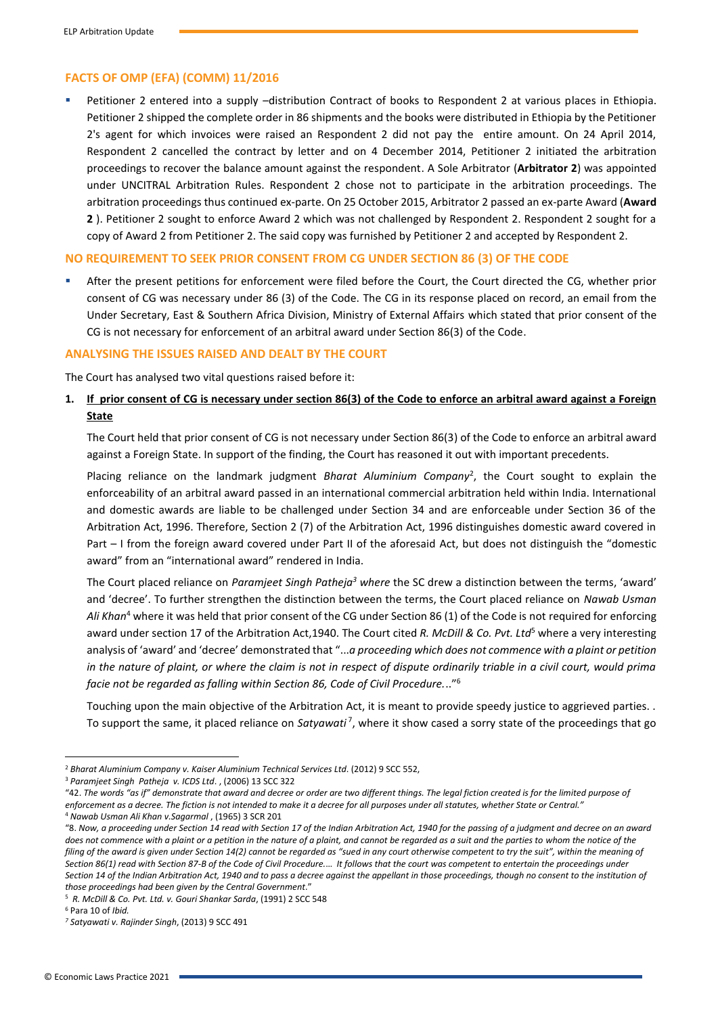### **FACTS OF OMP (EFA) (COMM) 11/2016**

Petitioner 2 entered into a supply -distribution Contract of books to Respondent 2 at various places in Ethiopia. Petitioner 2 shipped the complete order in 86 shipments and the books were distributed in Ethiopia by the Petitioner 2's agent for which invoices were raised an Respondent 2 did not pay the entire amount. On 24 April 2014, Respondent 2 cancelled the contract by letter and on 4 December 2014, Petitioner 2 initiated the arbitration proceedings to recover the balance amount against the respondent. A Sole Arbitrator (**Arbitrator 2**) was appointed under UNCITRAL Arbitration Rules. Respondent 2 chose not to participate in the arbitration proceedings. The arbitration proceedings thus continued ex-parte. On 25 October 2015, Arbitrator 2 passed an ex-parte Award (**Award 2** ). Petitioner 2 sought to enforce Award 2 which was not challenged by Respondent 2. Respondent 2 sought for a copy of Award 2 from Petitioner 2. The said copy was furnished by Petitioner 2 and accepted by Respondent 2.

### **NO REQUIREMENT TO SEEK PRIOR CONSENT FROM CG UNDER SECTION 86 (3) OF THE CODE**

After the present petitions for enforcement were filed before the Court, the Court directed the CG, whether prior consent of CG was necessary under 86 (3) of the Code. The CG in its response placed on record, an email from the Under Secretary, East & Southern Africa Division, Ministry of External Affairs which stated that prior consent of the CG is not necessary for enforcement of an arbitral award under Section 86(3) of the Code.

#### **ANALYSING THE ISSUES RAISED AND DEALT BY THE COURT**

The Court has analysed two vital questions raised before it:

### **1. If prior consent of CG is necessary under section 86(3) of the Code to enforce an arbitral award against a Foreign State**

The Court held that prior consent of CG is not necessary under Section 86(3) of the Code to enforce an arbitral award against a Foreign State. In support of the finding, the Court has reasoned it out with important precedents.

Placing reliance on the landmark judgment *Bharat Aluminium Company*<sup>2</sup> , the Court sought to explain the enforceability of an arbitral award passed in an international commercial arbitration held within India. International and domestic awards are liable to be challenged under Section 34 and are enforceable under Section 36 of the Arbitration Act, 1996. Therefore, Section 2 (7) of the Arbitration Act, 1996 distinguishes domestic award covered in Part – I from the foreign award covered under Part II of the aforesaid Act, but does not distinguish the "domestic award" from an "international award" rendered in India.

The Court placed reliance on *Paramjeet Singh Patheja<sup>3</sup> where* the SC drew a distinction between the terms, 'award' and 'decree'. To further strengthen the distinction between the terms, the Court placed reliance on *Nawab Usman Ali Khan*<sup>4</sup> where it was held that prior consent of the CG under Section 86 (1) of the Code is not required for enforcing award under section 17 of the Arbitration Act,1940. The Court cited *R. McDill & Co. Pvt. Ltd*<sup>5</sup> where a very interesting analysis of 'award' and 'decree' demonstrated that "...*a proceeding which does not commence with a plaint or petition in the nature of plaint, or where the claim is not in respect of dispute ordinarily triable in a civil court, would prima facie not be regarded as falling within Section 86, Code of Civil Procedure.*.."<sup>6</sup>

Touching upon the main objective of the Arbitration Act, it is meant to provide speedy justice to aggrieved parties. . To support the same, it placed reliance on Satyawati<sup>7</sup>, where it show cased a sorry state of the proceedings that go

<sup>3</sup> *Paramjeet Singh Patheja v. ICDS Ltd*. , (2006) 13 SCC 322

"42. *The words "as if" demonstrate that award and decree or order are two different things. The legal fiction created is for the limited purpose of enforcement as a decree. The fiction is not intended to make it a decree for all purposes under all statutes, whether State or Central."*

<sup>4</sup> *Nawab Usman Ali Khan v.Sagarmal* , (1965) 3 SCR 201 "8. *Now, a proceeding under Section 14 read with Section 17 of the Indian Arbitration Act, 1940 for the passing of a judgment and decree on an award does not commence with a plaint or a petition in the nature of a plaint, and cannot be regarded as a suit and the parties to whom the notice of the filing of the award is given under Section 14(2) cannot be regarded as "sued in any court otherwise competent to try the suit", within the meaning of Section 86(1) read with Section 87-B of the Code of Civil Procedure.*… *It follows that the court was competent to entertain the proceedings under Section 14 of the Indian Arbitration Act, 1940 and to pass a decree against the appellant in those proceedings, though no consent to the institution of those proceedings had been given by the Central Government*."

<sup>5</sup> *R. McDill & Co. Pvt. Ltd. v. Gouri Shankar Sarda*, (1991) 2 SCC 548

<sup>2</sup> *Bharat Aluminium Company v. Kaiser Aluminium Technical Services Ltd*. (2012) 9 SCC 552,

<sup>6</sup> Para 10 of *Ibid.* 

*<sup>7</sup> Satyawati v. Rajinder Singh*, (2013) 9 SCC 491